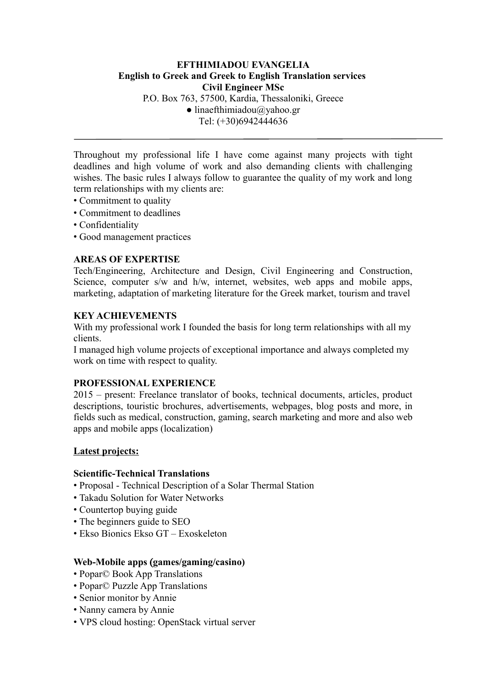# **EFTHIMIADOU EVANGELIA English to Greek and Greek to English Translation services Civil Engineer MSc** P.O. Box 763, 57500, Kardia, Thessaloniki, Greece  $\bullet$  linaefthimiadou@yahoo.gr Τel: (+30)6942444636

Throughout my professional life I have come against many projects with tight deadlines and high volume of work and also demanding clients with challenging wishes. The basic rules I always follow to guarantee the quality of my work and long term relationships with my clients are:

- Commitment to quality
- Commitment to deadlines
- Confidentiality
- Good management practices

## **AREAS OF EXPERTISE**

Tech/Engineering, Architecture and Design, Civil Engineering and Construction, Science, computer s/w and h/w, internet, websites, web apps and mobile apps, marketing, adaptation of marketing literature for the Greek market, tourism and travel

## **KEY ACHIEVEMENTS**

With my professional work I founded the basis for long term relationships with all my clients.

I managed high volume projects of exceptional importance and always completed my work on time with respect to quality.

## **PROFESSIONAL EXPERIENCE**

2015 – present: Freelance translator of books, technical documents, articles, product descriptions, touristic brochures, advertisements, webpages, blog posts and more, in fields such as medical, construction, gaming, search marketing and more and also web apps and mobile apps (localization)

## **Latest projects:**

## **Scientific-Technical Translations**

- Proposal Technical Description of a Solar Thermal Station
- Takadu Solution for Water Networks
- Countertop buying guide
- The beginners guide to SEO
- Ekso Bionics Ekso GT Exoskeleton

## **Web-Mobile apps** (**games/gaming/casino)**

- Popar© Book App Translations
- Popar© Puzzle App Translations
- Senior monitor by Annie
- Nanny camera by Annie
- VPS cloud hosting: OpenStack virtual server